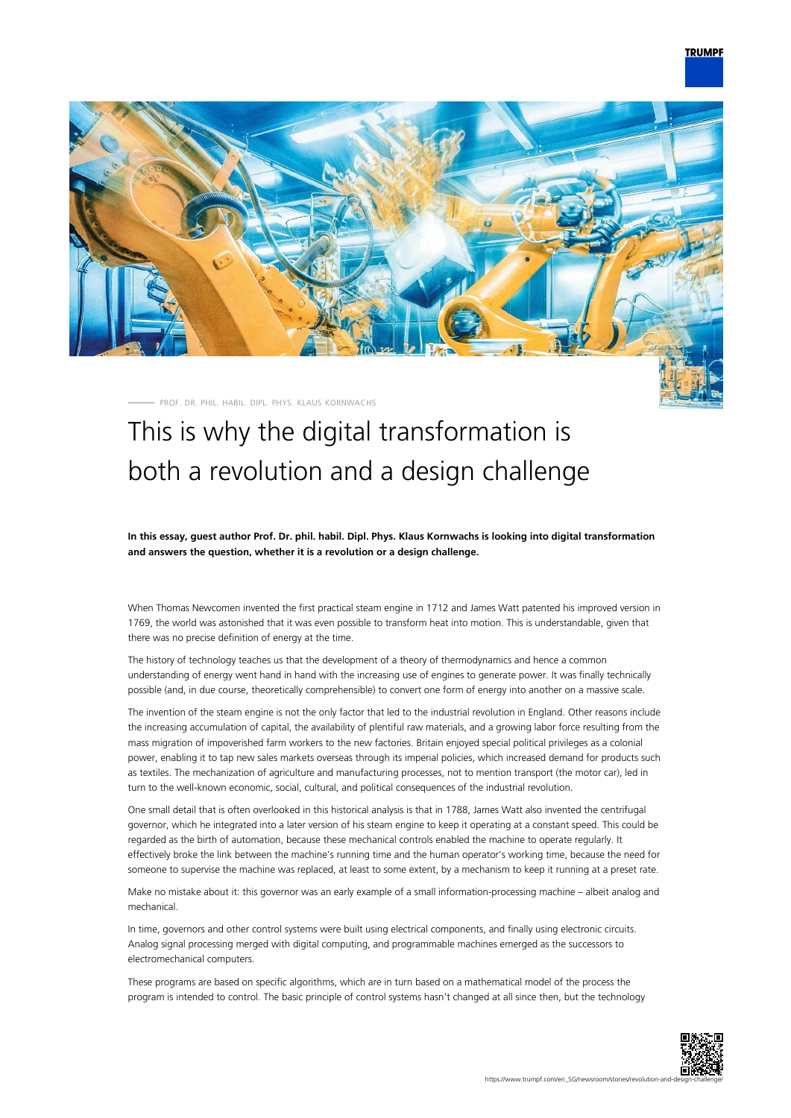# **TRUMPF**



PROF. DR. PHIL. HABIL. DIPL. PHYS. KLAUS KORNWACHS

# This is why the digital transformation is both a revolution and a design challenge

**In this essay, guest author Prof. Dr. phil. habil. Dipl. Phys. Klaus Kornwachs is looking into digital transformation and answers the question, whether it is a revolution or a design challenge.**

When Thomas Newcomen invented the first practical steam engine in 1712 and James Watt patented his improved version in 1769, the world was astonished that it was even possible to transform heat into motion. This is understandable, given that there was no precise definition of energy at the time.

The history of technology teaches us that the development of a theory of thermodynamics and hence a common understanding of energy went hand in hand with the increasing use of engines to generate power. It was finally technically possible (and, in due course, theoretically comprehensible) to convert one form of energy into another on a massive scale.

The invention of the steam engine is not the only factor that led to the industrial revolution in England. Other reasons include the increasing accumulation of capital, the availability of plentiful raw materials, and a growing labor force resulting from the mass migration of impoverished farm workers to the new factories. Britain enjoyed special political privileges as a colonial power, enabling it to tap new sales markets overseas through its imperial policies, which increased demand for products such as textiles. The mechanization of agriculture and manufacturing processes, not to mention transport (the motor car), led in turn to the well-known economic, social, cultural, and political consequences of the industrial revolution.

One small detail that is often overlooked in this historical analysis is that in 1788, James Watt also invented the centrifugal governor, which he integrated into a later version of his steam engine to keep it operating at a constant speed. This could be regarded as the birth of automation, because these mechanical controls enabled the machine to operate regularly. It effectively broke the link between the machine's running time and the human operator's working time, because the need for someone to supervise the machine was replaced, at least to some extent, by a mechanism to keep it running at a preset rate.

Make no mistake about it: this governor was an early example of a small information-processing machine – albeit analog and mechanical.

In time, governors and other control systems were built using electrical components, and finally using electronic circuits. Analog signal processing merged with digital computing, and programmable machines emerged as the successors to electromechanical computers.

These programs are based on specific algorithms, which are in turn based on a mathematical model of the process the program is intended to control. The basic principle of control systems hasn't changed at all since then, but the technology

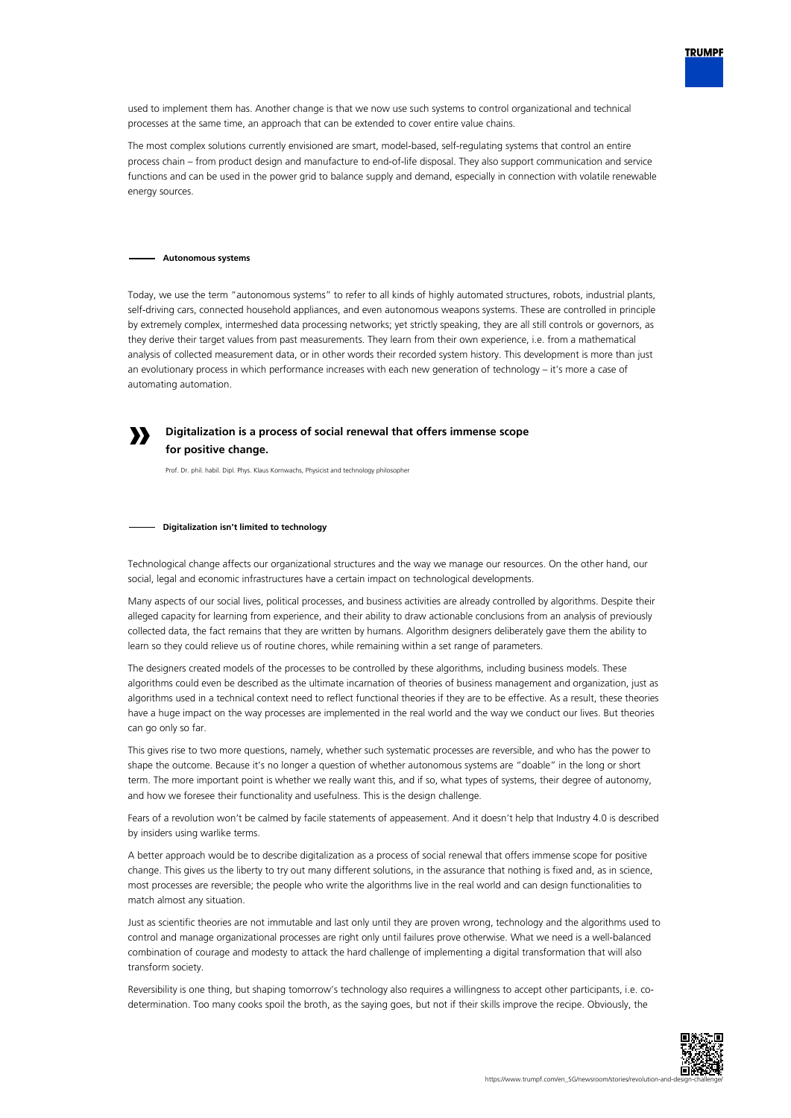

The most complex solutions currently envisioned are smart, model-based, self-regulating systems that control an entire process chain – from product design and manufacture to end-of-life disposal. They also support communication and service functions and can be used in the power grid to balance supply and demand, especially in connection with volatile renewable energy sources.

### **Autonomous systems**

**»**

Today, we use the term "autonomous systems" to refer to all kinds of highly automated structures, robots, industrial plants, self-driving cars, connected household appliances, and even autonomous weapons systems. These are controlled in principle by extremely complex, intermeshed data processing networks; yet strictly speaking, they are all still controls or governors, as they derive their target values from past measurements. They learn from their own experience, i.e. from a mathematical analysis of collected measurement data, or in other words their recorded system history. This development is more than just an evolutionary process in which performance increases with each new generation of technology – it's more a case of automating automation.

## **Digitalization is a process of social renewal that offers immense scope for positive change.**

Prof. Dr. phil. habil. Dipl. Phys. Klaus Kornwachs, Physicist and technology philosopher

#### **Digitalization isn't limited to technology**

Technological change affects our organizational structures and the way we manage our resources. On the other hand, our social, legal and economic infrastructures have a certain impact on technological developments.

Many aspects of our social lives, political processes, and business activities are already controlled by algorithms. Despite their alleged capacity for learning from experience, and their ability to draw actionable conclusions from an analysis of previously collected data, the fact remains that they are written by humans. Algorithm designers deliberately gave them the ability to learn so they could relieve us of routine chores, while remaining within a set range of parameters.

The designers created models of the processes to be controlled by these algorithms, including business models. These algorithms could even be described as the ultimate incarnation of theories of business management and organization, just as algorithms used in a technical context need to reflect functional theories if they are to be effective. As a result, these theories have a huge impact on the way processes are implemented in the real world and the way we conduct our lives. But theories can go only so far.

This gives rise to two more questions, namely, whether such systematic processes are reversible, and who has the power to shape the outcome. Because it's no longer a question of whether autonomous systems are "doable" in the long or short term. The more important point is whether we really want this, and if so, what types of systems, their degree of autonomy, and how we foresee their functionality and usefulness. This is the design challenge.

Fears of a revolution won't be calmed by facile statements of appeasement. And it doesn't help that Industry 4.0 is described by insiders using warlike terms.

A better approach would be to describe digitalization as a process of social renewal that offers immense scope for positive change. This gives us the liberty to try out many different solutions, in the assurance that nothing is fixed and, as in science, most processes are reversible; the people who write the algorithms live in the real world and can design functionalities to match almost any situation.

Just as scientific theories are not immutable and last only until they are proven wrong, technology and the algorithms used to control and manage organizational processes are right only until failures prove otherwise. What we need is a well-balanced combination of courage and modesty to attack the hard challenge of implementing a digital transformation that will also transform society.

Reversibility is one thing, but shaping tomorrow's technology also requires a willingness to accept other participants, i.e. codetermination. Too many cooks spoil the broth, as the saying goes, but not if their skills improve the recipe. Obviously, the



**TRUMPF**